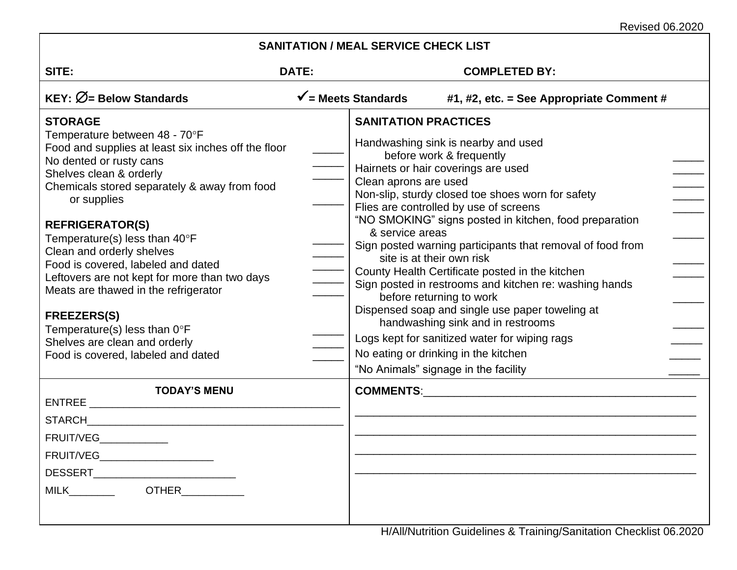Revised 06.2020

| SITE:                                                                                                                                                                                                                                                                                                                                                                                                                                                                                                                                                                                              | DATE:                          |                                                                                                                                  | <b>COMPLETED BY:</b>                                                                                                                                                                                                                                                                                                                                                                                                                                                                                                                                                                                                                                                                            |
|----------------------------------------------------------------------------------------------------------------------------------------------------------------------------------------------------------------------------------------------------------------------------------------------------------------------------------------------------------------------------------------------------------------------------------------------------------------------------------------------------------------------------------------------------------------------------------------------------|--------------------------------|----------------------------------------------------------------------------------------------------------------------------------|-------------------------------------------------------------------------------------------------------------------------------------------------------------------------------------------------------------------------------------------------------------------------------------------------------------------------------------------------------------------------------------------------------------------------------------------------------------------------------------------------------------------------------------------------------------------------------------------------------------------------------------------------------------------------------------------------|
| <b>KEY:</b> $\varnothing$ = Below Standards                                                                                                                                                                                                                                                                                                                                                                                                                                                                                                                                                        | $\checkmark$ = Meets Standards |                                                                                                                                  | #1, #2, etc. = See Appropriate Comment #                                                                                                                                                                                                                                                                                                                                                                                                                                                                                                                                                                                                                                                        |
| <b>STORAGE</b><br>Temperature between 48 - 70°F<br>Food and supplies at least six inches off the floor<br>No dented or rusty cans<br>Shelves clean & orderly<br>Chemicals stored separately & away from food<br>or supplies<br><b>REFRIGERATOR(S)</b><br>Temperature(s) less than $40^{\circ}$ F<br>Clean and orderly shelves<br>Food is covered, labeled and dated<br>Leftovers are not kept for more than two days<br>Meats are thawed in the refrigerator<br><b>FREEZERS(S)</b><br>Temperature(s) less than $0^{\circ}F$<br>Shelves are clean and orderly<br>Food is covered, labeled and dated |                                | <b>SANITATION PRACTICES</b><br>Clean aprons are used<br>& service areas<br>site is at their own risk<br>before returning to work | Handwashing sink is nearby and used<br>before work & frequently<br>Hairnets or hair coverings are used<br>Non-slip, sturdy closed toe shoes worn for safety<br>$\overline{\phantom{a}}$<br>Flies are controlled by use of screens<br>"NO SMOKING" signs posted in kitchen, food preparation<br>Sign posted warning participants that removal of food from<br>County Health Certificate posted in the kitchen<br>Sign posted in restrooms and kitchen re: washing hands<br>Dispensed soap and single use paper toweling at<br>handwashing sink and in restrooms<br>Logs kept for sanitized water for wiping rags<br>No eating or drinking in the kitchen<br>"No Animals" signage in the facility |
| <b>TODAY'S MENU</b><br>STARCH <b>STARCH</b><br>FRUIT/VEG____________<br>FRUIT/VEG________________________<br>MILK___________  OTHER                                                                                                                                                                                                                                                                                                                                                                                                                                                                |                                |                                                                                                                                  |                                                                                                                                                                                                                                                                                                                                                                                                                                                                                                                                                                                                                                                                                                 |